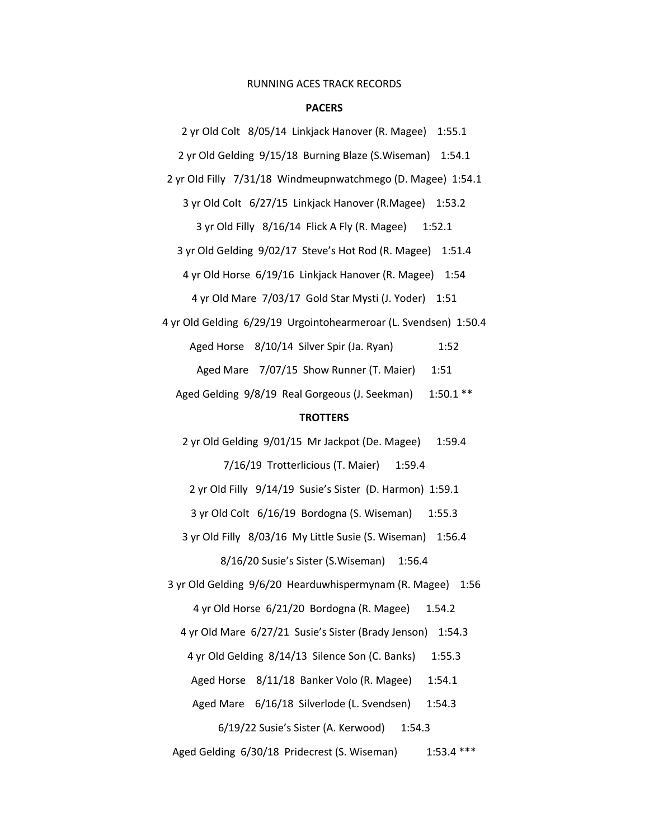## RUNNING ACES TRACK RECORDS

## **PACERS**

2 yr Old Colt 8/05/14 Linkjack Hanover (R. Magee) 1:55.1

2 yr Old Gelding 9/15/18 Burning Blaze (S.Wiseman) 1:54.1

2 yr OId Filly 7/31/18 Windmeupnwatchmego (D. Magee) 1:54.1

3 yr Old Colt 6/27/15 Linkjack Hanover (R.Magee) 1:53.2

3 yr Old Filly 8/16/14 Flick A Fly (R. Magee) 1:52.1

3 yr Old Gelding 9/02/17 Steve's Hot Rod (R. Magee) 1:51.4

4 yr Old Horse 6/19/16 Linkjack Hanover (R. Magee) 1:54

4 yr Old Mare 7/03/17 Gold Star Mysti (J. Yoder) 1:51

4 yr Old Gelding 6/29/19 Urgointohearmeroar (L. Svendsen) 1:50.4

Aged Horse 8/10/14 Silver Spir (Ja. Ryan) 1:52

Aged Mare 7/07/15 Show Runner (T. Maier) 1:51

Aged Gelding 9/8/19 Real Gorgeous (J. Seekman) 1:50.1 \*\*

## **TROTTERS**

2 yr Old Gelding 9/01/15 Mr Jackpot (De. Magee) 1:59.4 7/16/19 Trotterlicious (T. Maier) 1:59.4

2 yr Old Filly 9/14/19 Susie's Sister (D. Harmon) 1:59.1

3 yr Old Colt 6/16/19 Bordogna (S. Wiseman) 1:55.3

3 yr Old Filly 8/03/16 My Little Susie (S. Wiseman) 1:56.4

8/16/20 Susie's Sister (S.Wiseman) 1:56.4

3 yr Old Gelding 9/6/20 Hearduwhispermynam (R. Magee) 1:56 4 yr Old Horse 6/21/20 Bordogna (R. Magee) 1.54.2

4 yr Old Mare 6/27/21 Susie's Sister (Brady Jenson) 1:54.3

4 yr Old Gelding 8/14/13 Silence Son (C. Banks) 1:55.3

Aged Horse 8/11/18 Banker Volo (R. Magee) 1:54.1

Aged Mare 6/16/18 Silverlode (L. Svendsen) 1:54.3

6/19/22 Susie's Sister (A. Kerwood) 1:54.3

Aged Gelding 6/30/18 Pridecrest (S. Wiseman) 1:53.4 \*\*\*